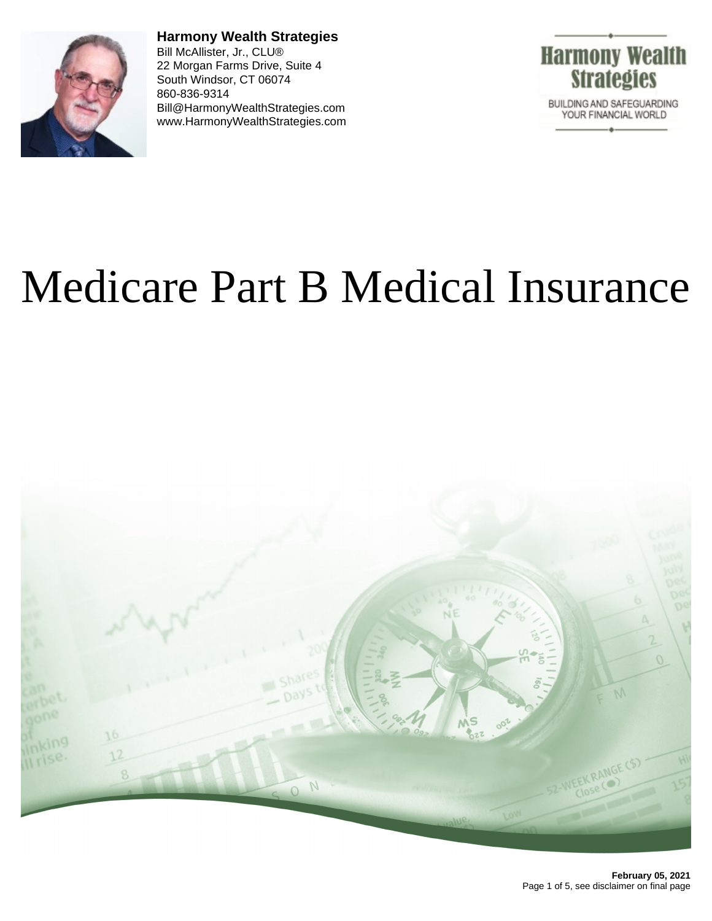

**Harmony Wealth Strategies** Bill McAllister, Jr., CLU® 22 Morgan Farms Drive, Suite 4 South Windsor, CT 06074 860-836-9314 Bill@HarmonyWealthStrategies.com www.HarmonyWealthStrategies.com



# Medicare Part B Medical Insurance

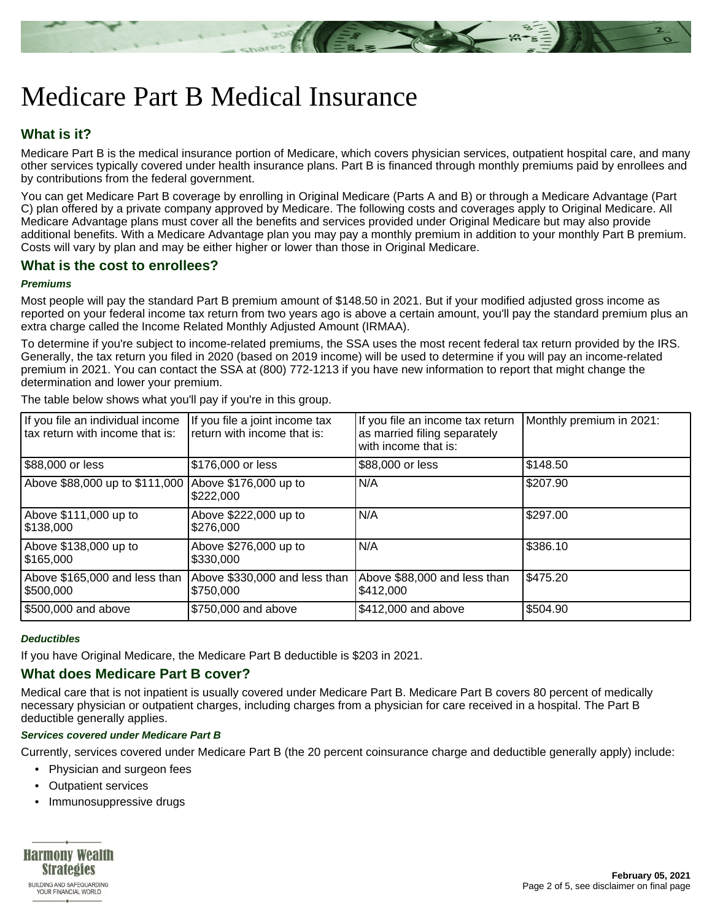

## Medicare Part B Medical Insurance

### **What is it?**

Medicare Part B is the medical insurance portion of Medicare, which covers physician services, outpatient hospital care, and many other services typically covered under health insurance plans. Part B is financed through monthly premiums paid by enrollees and by contributions from the federal government.

You can get Medicare Part B coverage by enrolling in Original Medicare (Parts A and B) or through a Medicare Advantage (Part C) plan offered by a private company approved by Medicare. The following costs and coverages apply to Original Medicare. All Medicare Advantage plans must cover all the benefits and services provided under Original Medicare but may also provide additional benefits. With a Medicare Advantage plan you may pay a monthly premium in addition to your monthly Part B premium. Costs will vary by plan and may be either higher or lower than those in Original Medicare.

#### **What is the cost to enrollees?**

#### **Premiums**

Most people will pay the standard Part B premium amount of \$148.50 in 2021. But if your modified adjusted gross income as reported on your federal income tax return from two years ago is above a certain amount, you'll pay the standard premium plus an extra charge called the Income Related Monthly Adjusted Amount (IRMAA).

To determine if you're subject to income-related premiums, the SSA uses the most recent federal tax return provided by the IRS. Generally, the tax return you filed in 2020 (based on 2019 income) will be used to determine if you will pay an income-related premium in 2021. You can contact the SSA at (800) 772-1213 if you have new information to report that might change the determination and lower your premium.

| If you file an individual income<br>I tax return with income that is: | If you file a joint income tax<br>return with income that is: | If you file an income tax return<br>as married filing separately<br>with income that is: | Monthly premium in 2021: |
|-----------------------------------------------------------------------|---------------------------------------------------------------|------------------------------------------------------------------------------------------|--------------------------|
| \$88,000 or less                                                      | \$176,000 or less                                             | \$88,000 or less                                                                         | 5148.50                  |
| Above \$88,000 up to \$111,000                                        | Above \$176,000 up to<br>\$222,000                            | N/A                                                                                      | \$207.90                 |
| Above \$111,000 up to<br>\$138,000                                    | Above \$222,000 up to<br>\$276,000                            | N/A                                                                                      | \$297.00                 |
| Above \$138,000 up to<br>\$165,000                                    | Above \$276,000 up to<br>\$330,000                            | N/A                                                                                      | \$386.10                 |
| Above \$165,000 and less than<br>5500,000                             | Above \$330,000 and less than<br>\$750,000                    | Above \$88,000 and less than<br>\$412,000                                                | \$475.20                 |
| \$500,000 and above                                                   | \$750,000 and above                                           | \$412,000 and above                                                                      | \$504.90                 |

The table below shows what you'll pay if you're in this group.

#### **Deductibles**

If you have Original Medicare, the Medicare Part B deductible is \$203 in 2021.

#### **What does Medicare Part B cover?**

Medical care that is not inpatient is usually covered under Medicare Part B. Medicare Part B covers 80 percent of medically necessary physician or outpatient charges, including charges from a physician for care received in a hospital. The Part B deductible generally applies.

#### **Services covered under Medicare Part B**

Currently, services covered under Medicare Part B (the 20 percent coinsurance charge and deductible generally apply) include:

- Physician and surgeon fees
- Outpatient services
- Immunosuppressive drugs

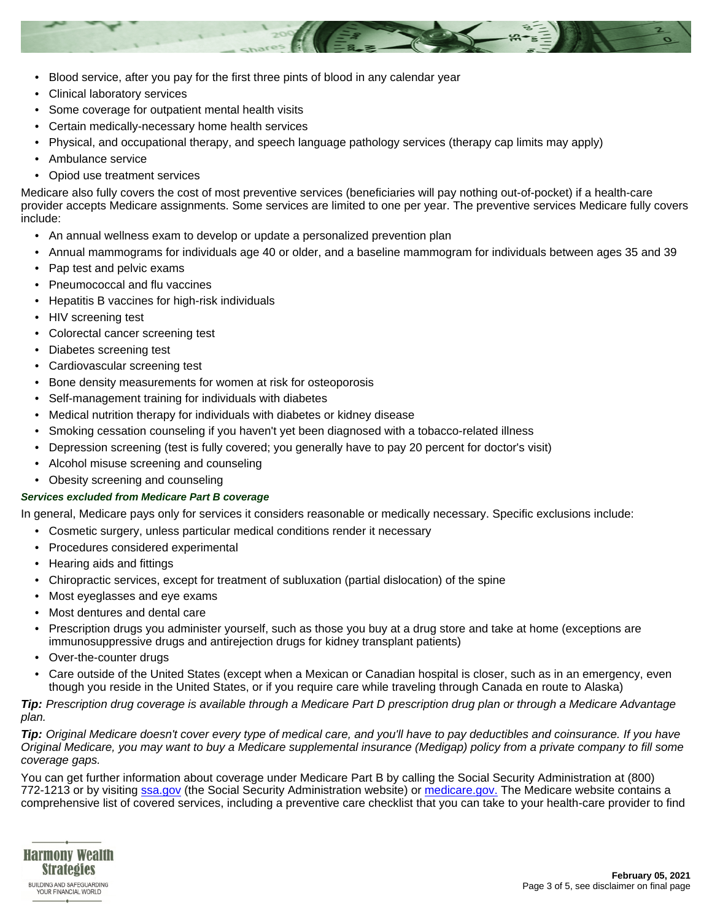

- Clinical laboratory services
- Some coverage for outpatient mental health visits
- Certain medically-necessary home health services
- Physical, and occupational therapy, and speech language pathology services (therapy cap limits may apply)
- Ambulance service
- Opiod use treatment services

Medicare also fully covers the cost of most preventive services (beneficiaries will pay nothing out-of-pocket) if a health-care provider accepts Medicare assignments. Some services are limited to one per year. The preventive services Medicare fully covers include:

- An annual wellness exam to develop or update a personalized prevention plan
- Annual mammograms for individuals age 40 or older, and a baseline mammogram for individuals between ages 35 and 39
- Pap test and pelvic exams
- Pneumococcal and flu vaccines
- Hepatitis B vaccines for high-risk individuals
- HIV screening test
- Colorectal cancer screening test
- Diabetes screening test
- Cardiovascular screening test
- Bone density measurements for women at risk for osteoporosis
- Self-management training for individuals with diabetes
- Medical nutrition therapy for individuals with diabetes or kidney disease
- Smoking cessation counseling if you haven't yet been diagnosed with a tobacco-related illness
- Depression screening (test is fully covered; you generally have to pay 20 percent for doctor's visit)
- Alcohol misuse screening and counseling
- Obesity screening and counseling

#### **Services excluded from Medicare Part B coverage**

In general, Medicare pays only for services it considers reasonable or medically necessary. Specific exclusions include:

- Cosmetic surgery, unless particular medical conditions render it necessary
- Procedures considered experimental
- Hearing aids and fittings
- Chiropractic services, except for treatment of subluxation (partial dislocation) of the spine
- Most eyeglasses and eye exams
- Most dentures and dental care
- Prescription drugs you administer yourself, such as those you buy at a drug store and take at home (exceptions are immunosuppressive drugs and antirejection drugs for kidney transplant patients)
- Over-the-counter drugs
- Care outside of the United States (except when a Mexican or Canadian hospital is closer, such as in an emergency, even though you reside in the United States, or if you require care while traveling through Canada en route to Alaska)

**Tip:** Prescription drug coverage is available through a Medicare Part D prescription drug plan or through a Medicare Advantage plan.

**Tip:** Original Medicare doesn't cover every type of medical care, and you'll have to pay deductibles and coinsurance. If you have Original Medicare, you may want to buy a Medicare supplemental insurance (Medigap) policy from a private company to fill some coverage gaps.

You can get further information about coverage under Medicare Part B by calling the Social Security Administration at (800) 772-1213 or by visiting [ssa.gov](https://www.ssa.gov) (the Social Security Administration website) or [medicare.gov.](https://www.medicare.gov) The Medicare website contains a comprehensive list of covered services, including a preventive care checklist that you can take to your health-care provider to find

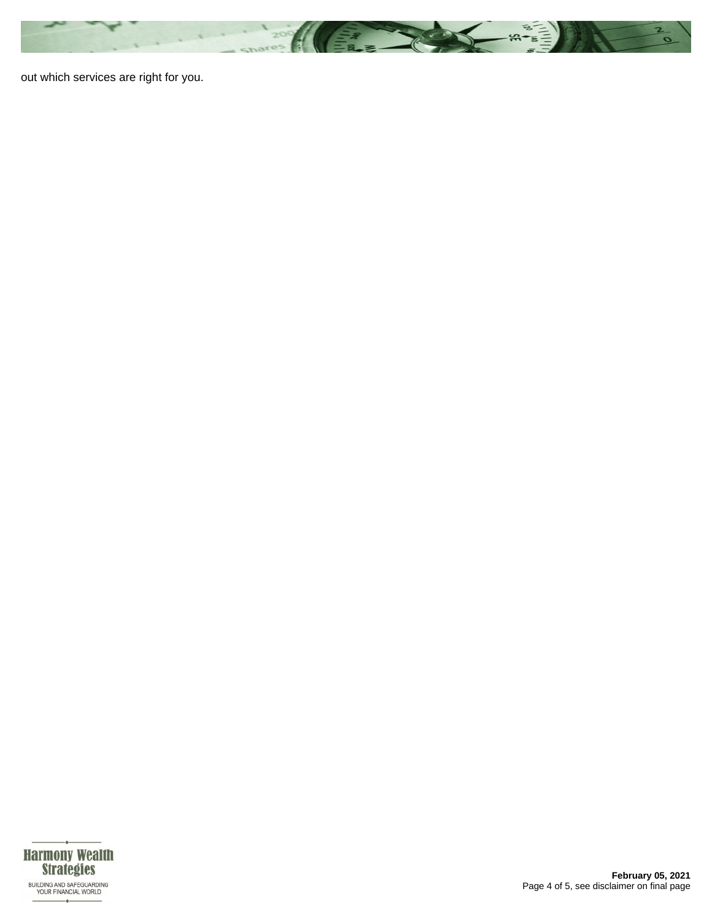

out which services are right for you.